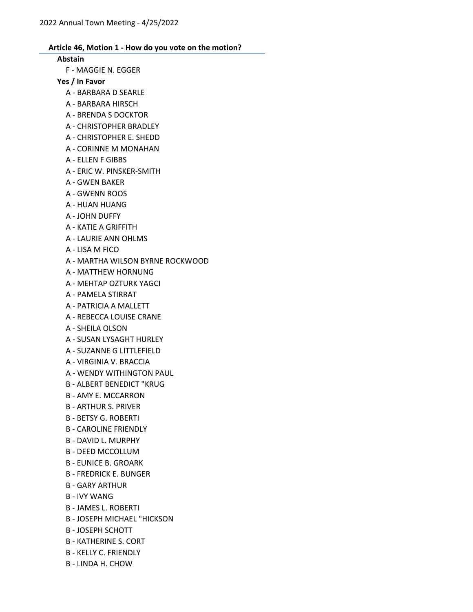#### Abstain

F - MAGGIE N. EGGER

# Yes / In Favor

- A BARBARA D SEARLE
- A BARBARA HIRSCH
- A BRENDA S DOCKTOR
- A CHRISTOPHER BRADLEY
- A CHRISTOPHER E. SHEDD
- A CORINNE M MONAHAN
- A ELLEN F GIBBS
- A ERIC W. PINSKER-SMITH
- A GWEN BAKER
- A GWENN ROOS
- A HUAN HUANG
- A JOHN DUFFY
- A KATIE A GRIFFITH
- A LAURIE ANN OHLMS
- A LISA M FICO
- A MARTHA WILSON BYRNE ROCKWOOD
- A MATTHEW HORNUNG
- A MEHTAP OZTURK YAGCI
- A PAMELA STIRRAT
- A PATRICIA A MALLETT
- A REBECCA LOUISE CRANE
- A SHEILA OLSON
- A SUSAN LYSAGHT HURLEY
- A SUZANNE G LITTLEFIELD
- A VIRGINIA V. BRACCIA
- A WENDY WITHINGTON PAUL
- B ALBERT BENEDICT "KRUG
- B AMY E. MCCARRON
- B ARTHUR S. PRIVER
- B BETSY G. ROBERTI
- B CAROLINE FRIENDLY
- B DAVID L. MURPHY
- B DEED MCCOLLUM
- B EUNICE B. GROARK
- B FREDRICK E. BUNGER
- B GARY ARTHUR
- B IVY WANG
- B JAMES L. ROBERTI
- B JOSEPH MICHAEL "HICKSON
- B JOSEPH SCHOTT
- B KATHERINE S. CORT
- B KELLY C. FRIENDLY
- B LINDA H. CHOW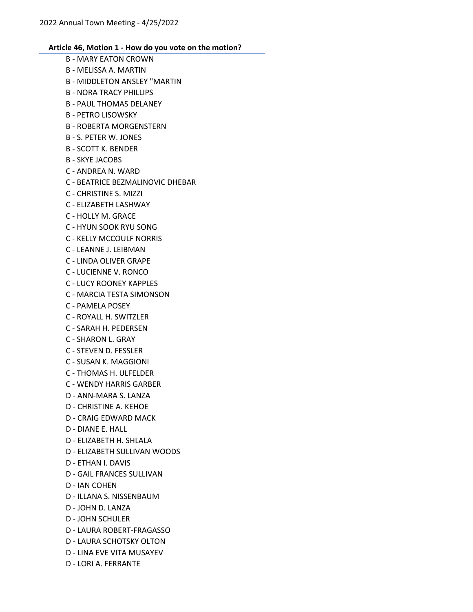- B MARY EATON CROWN B - MELISSA A. MARTIN B - MIDDLETON ANSLEY "MARTIN B - NORA TRACY PHILLIPS B - PAUL THOMAS DELANEY B - PETRO LISOWSKY B - ROBERTA MORGENSTERN B - S. PETER W. JONES B - SCOTT K. BENDER B - SKYE JACOBS C - ANDREA N. WARD C - BEATRICE BEZMALINOVIC DHEBAR C - CHRISTINE S. MIZZI C - ELIZABETH LASHWAY C - HOLLY M. GRACE C - HYUN SOOK RYU SONG C - KELLY MCCOULF NORRIS C - LEANNE J. LEIBMAN C - LINDA OLIVER GRAPE C - LUCIENNE V. RONCO C - LUCY ROONEY KAPPLES C - MARCIA TESTA SIMONSON C - PAMELA POSEY C - ROYALL H. SWITZLER C - SARAH H. PEDERSEN C - SHARON L. GRAY C - STEVEN D. FESSLER C - SUSAN K. MAGGIONI C - THOMAS H. ULFELDER C - WENDY HARRIS GARBER D - ANN-MARA S. LANZA D - CHRISTINE A. KEHOE D - CRAIG EDWARD MACK D - DIANE E. HALL D - ELIZABETH H. SHLALA D - ELIZABETH SULLIVAN WOODS D - ETHAN I. DAVIS D - GAIL FRANCES SULLIVAN D - IAN COHEN D - ILLANA S. NISSENBAUM D - JOHN D. LANZA D - JOHN SCHULER D - LAURA ROBERT-FRAGASSO D - LAURA SCHOTSKY OLTON
- D LINA EVE VITA MUSAYEV
- D LORI A. FERRANTE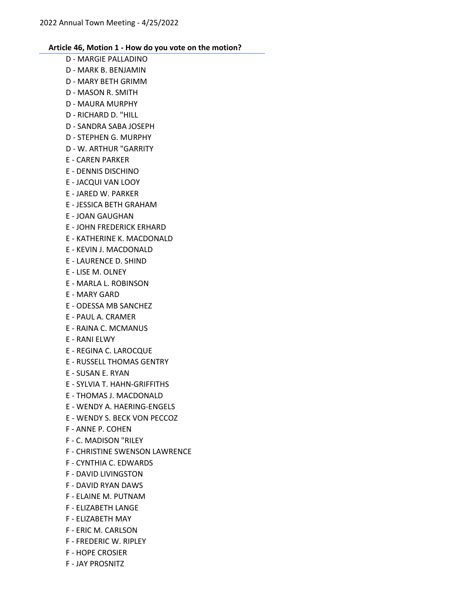- D MARGIE PALLADINO
- D MARK B. BENJAMIN
- D MARY BETH GRIMM
- D MASON R. SMITH
- D MAURA MURPHY
- D RICHARD D. "HILL
- D SANDRA SABA JOSEPH
- D STEPHEN G. MURPHY
- D W. ARTHUR "GARRITY
- E CAREN PARKER
- E DENNIS DISCHINO
- E JACQUI VAN LOOY
- E JARED W. PARKER
- E JESSICA BETH GRAHAM
- E JOAN GAUGHAN
- E JOHN FREDERICK ERHARD
- E KATHERINE K. MACDONALD
- E KEVIN J. MACDONALD
- E LAURENCE D. SHIND
- E LISE M. OLNEY
- E MARLA L. ROBINSON
- E MARY GARD
- E ODESSA MB SANCHEZ
- E PAUL A. CRAMER
- E RAINA C. MCMANUS
- E RANI ELWY
- E REGINA C. LAROCQUE
- E RUSSELL THOMAS GENTRY
- E SUSAN E. RYAN
- E SYLVIA T. HAHN-GRIFFITHS
- E THOMAS J. MACDONALD
- E WENDY A. HAERING-ENGELS
- E WENDY S. BECK VON PECCOZ
- F ANNE P. COHEN
- F C. MADISON "RILEY
- F CHRISTINE SWENSON LAWRENCE
- F CYNTHIA C. EDWARDS
- F DAVID LIVINGSTON
- F DAVID RYAN DAWS
- F ELAINE M. PUTNAM
- F ELIZABETH LANGE
- F ELIZABETH MAY
- F ERIC M. CARLSON
- F FREDERIC W. RIPLEY
- F HOPE CROSIER
- F JAY PROSNITZ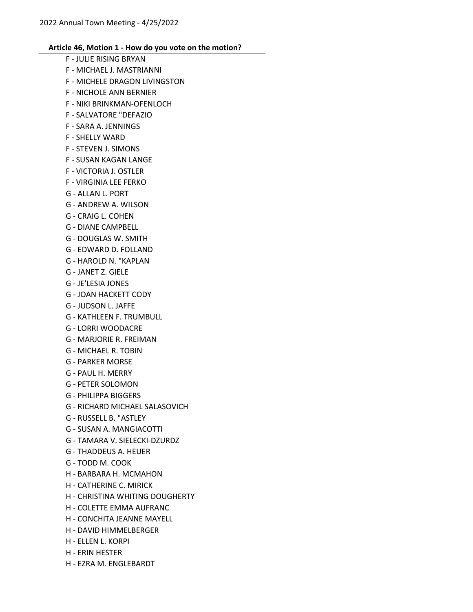- F JULIE RISING BRYAN F - MICHAEL J. MASTRIANNI F - MICHELE DRAGON LIVINGSTON F - NICHOLE ANN BERNIER F - NIKI BRINKMAN-OFENLOCH F - SALVATORE "DEFAZIO F - SARA A. JENNINGS F - SHELLY WARD F - STEVEN J. SIMONS F - SUSAN KAGAN LANGE F - VICTORIA J. OSTLER F - VIRGINIA LEE FERKO G - ALLAN L. PORT G - ANDREW A. WILSON G - CRAIG L. COHEN G - DIANE CAMPBELL G - DOUGLAS W. SMITH G - EDWARD D. FOLLAND G - HAROLD N. "KAPLAN G - JANET Z. GIELE G - JE'LESIA JONES G - JOAN HACKETT CODY G - JUDSON L. JAFFE G - KATHLEEN F. TRUMBULL G - LORRI WOODACRE G - MARJORIE R. FREIMAN G - MICHAEL R. TOBIN G - PARKER MORSE G - PAUL H. MERRY G - PETER SOLOMON G - PHILIPPA BIGGERS G - RICHARD MICHAEL SALASOVICH G - RUSSELL B. "ASTLEY G - SUSAN A. MANGIACOTTI G - TAMARA V. SIELECKI-DZURDZ G - THADDEUS A. HEUER G - TODD M. COOK H - BARBARA H. MCMAHON H - CATHERINE C. MIRICK H - CHRISTINA WHITING DOUGHERTY H - COLETTE EMMA AUFRANC H - CONCHITA JEANNE MAYELL H - DAVID HIMMELBERGER
- H ELLEN L. KORPI
- H ERIN HESTER
- H EZRA M. ENGLEBARDT